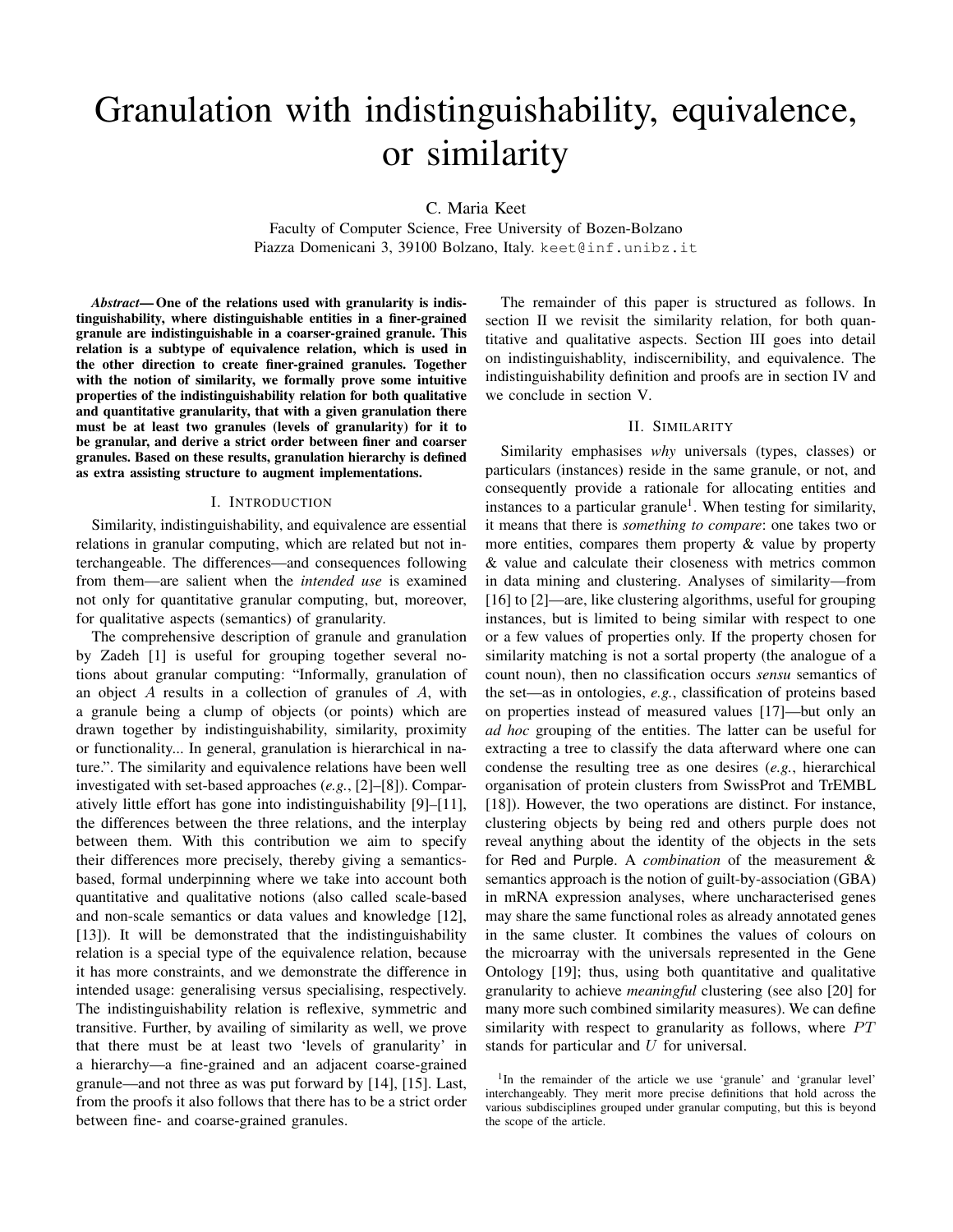# Granulation with indistinguishability, equivalence, or similarity

C. Maria Keet

Faculty of Computer Science, Free University of Bozen-Bolzano Piazza Domenicani 3, 39100 Bolzano, Italy. keet@inf.unibz.it

*Abstract*— One of the relations used with granularity is indistinguishability, where distinguishable entities in a finer-grained granule are indistinguishable in a coarser-grained granule. This relation is a subtype of equivalence relation, which is used in the other direction to create finer-grained granules. Together with the notion of similarity, we formally prove some intuitive properties of the indistinguishability relation for both qualitative and quantitative granularity, that with a given granulation there must be at least two granules (levels of granularity) for it to be granular, and derive a strict order between finer and coarser granules. Based on these results, granulation hierarchy is defined as extra assisting structure to augment implementations.

#### I. INTRODUCTION

Similarity, indistinguishability, and equivalence are essential relations in granular computing, which are related but not interchangeable. The differences—and consequences following from them—are salient when the *intended use* is examined not only for quantitative granular computing, but, moreover, for qualitative aspects (semantics) of granularity.

The comprehensive description of granule and granulation by Zadeh [1] is useful for grouping together several notions about granular computing: "Informally, granulation of an object  $A$  results in a collection of granules of  $A$ , with a granule being a clump of objects (or points) which are drawn together by indistinguishability, similarity, proximity or functionality... In general, granulation is hierarchical in nature.". The similarity and equivalence relations have been well investigated with set-based approaches (*e.g.*, [2]–[8]). Comparatively little effort has gone into indistinguishability [9]–[11], the differences between the three relations, and the interplay between them. With this contribution we aim to specify their differences more precisely, thereby giving a semanticsbased, formal underpinning where we take into account both quantitative and qualitative notions (also called scale-based and non-scale semantics or data values and knowledge [12], [13]). It will be demonstrated that the indistinguishability relation is a special type of the equivalence relation, because it has more constraints, and we demonstrate the difference in intended usage: generalising versus specialising, respectively. The indistinguishability relation is reflexive, symmetric and transitive. Further, by availing of similarity as well, we prove that there must be at least two 'levels of granularity' in a hierarchy—a fine-grained and an adjacent coarse-grained granule—and not three as was put forward by [14], [15]. Last, from the proofs it also follows that there has to be a strict order between fine- and coarse-grained granules.

The remainder of this paper is structured as follows. In section II we revisit the similarity relation, for both quantitative and qualitative aspects. Section III goes into detail on indistinguishablity, indiscernibility, and equivalence. The indistinguishability definition and proofs are in section IV and we conclude in section V.

## II. SIMILARITY

Similarity emphasises *why* universals (types, classes) or particulars (instances) reside in the same granule, or not, and consequently provide a rationale for allocating entities and instances to a particular granule<sup>1</sup>. When testing for similarity, it means that there is *something to compare*: one takes two or more entities, compares them property & value by property & value and calculate their closeness with metrics common in data mining and clustering. Analyses of similarity—from [16] to [2]—are, like clustering algorithms, useful for grouping instances, but is limited to being similar with respect to one or a few values of properties only. If the property chosen for similarity matching is not a sortal property (the analogue of a count noun), then no classification occurs *sensu* semantics of the set—as in ontologies, *e.g.*, classification of proteins based on properties instead of measured values [17]—but only an *ad hoc* grouping of the entities. The latter can be useful for extracting a tree to classify the data afterward where one can condense the resulting tree as one desires (*e.g.*, hierarchical organisation of protein clusters from SwissProt and TrEMBL [18]). However, the two operations are distinct. For instance, clustering objects by being red and others purple does not reveal anything about the identity of the objects in the sets for Red and Purple. A *combination* of the measurement & semantics approach is the notion of guilt-by-association (GBA) in mRNA expression analyses, where uncharacterised genes may share the same functional roles as already annotated genes in the same cluster. It combines the values of colours on the microarray with the universals represented in the Gene Ontology [19]; thus, using both quantitative and qualitative granularity to achieve *meaningful* clustering (see also [20] for many more such combined similarity measures). We can define similarity with respect to granularity as follows, where  $PT$ stands for particular and U for universal.

<sup>&</sup>lt;sup>1</sup>In the remainder of the article we use 'granule' and 'granular level' interchangeably. They merit more precise definitions that hold across the various subdisciplines grouped under granular computing, but this is beyond the scope of the article.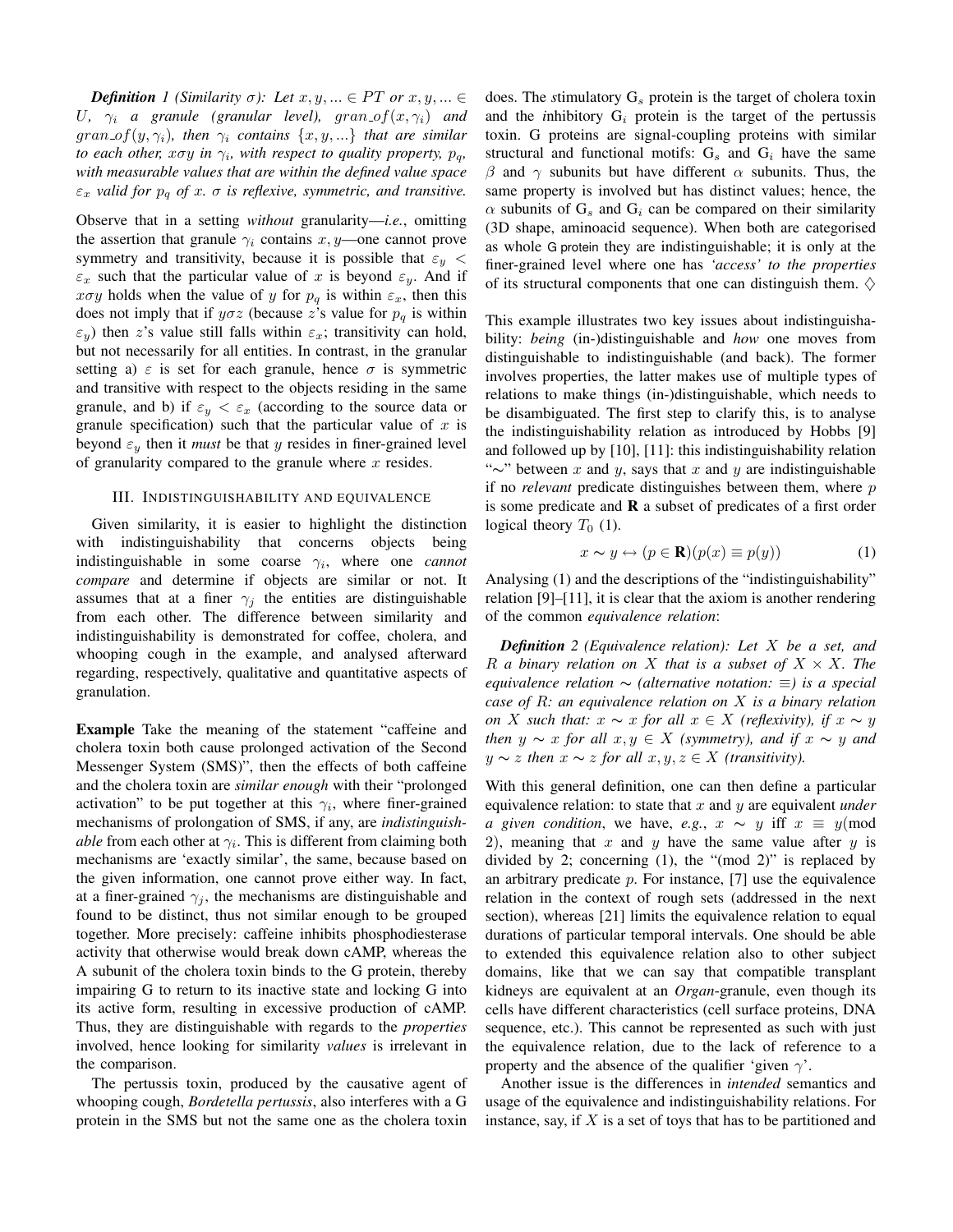*Definition* 1 (Similarity  $\sigma$ ): Let  $x, y, ... \in PT$  or  $x, y, ... \in$ U,  $\gamma_i$  *a* granule (granular level), gran of  $(x, \gamma_i)$  and  $gran\_of(y, \gamma_i)$ *, then*  $\gamma_i$  *contains*  $\{x, y, ...\}$  *that are similar to each other, xoy in*  $\gamma_i$ , with respect to quality property,  $p_q$ , *with measurable values that are within the defined value space*  $\varepsilon_x$  *valid for*  $p_q$  *of* x.  $\sigma$  *is reflexive, symmetric, and transitive.* 

Observe that in a setting *without* granularity—*i.e.*, omitting the assertion that granule  $\gamma_i$  contains  $x, y$ —one cannot prove symmetry and transitivity, because it is possible that  $\varepsilon_y$  <  $\varepsilon_x$  such that the particular value of x is beyond  $\varepsilon_y$ . And if  $x\sigma y$  holds when the value of y for  $p_q$  is within  $\varepsilon_x$ , then this does not imply that if  $y\sigma z$  (because z's value for  $p_q$  is within  $\varepsilon_y$ ) then z's value still falls within  $\varepsilon_x$ ; transitivity can hold, but not necessarily for all entities. In contrast, in the granular setting a)  $\varepsilon$  is set for each granule, hence  $\sigma$  is symmetric and transitive with respect to the objects residing in the same granule, and b) if  $\varepsilon_y < \varepsilon_x$  (according to the source data or granule specification) such that the particular value of  $x$  is beyond  $\varepsilon_y$  then it *must* be that y resides in finer-grained level of granularity compared to the granule where  $x$  resides.

### III. INDISTINGUISHABILITY AND EQUIVALENCE

Given similarity, it is easier to highlight the distinction with indistinguishability that concerns objects being indistinguishable in some coarse  $\gamma_i$ , where one *cannot compare* and determine if objects are similar or not. It assumes that at a finer  $\gamma_i$  the entities are distinguishable from each other. The difference between similarity and indistinguishability is demonstrated for coffee, cholera, and whooping cough in the example, and analysed afterward regarding, respectively, qualitative and quantitative aspects of granulation.

Example Take the meaning of the statement "caffeine and cholera toxin both cause prolonged activation of the Second Messenger System (SMS)", then the effects of both caffeine and the cholera toxin are *similar enough* with their "prolonged activation" to be put together at this  $\gamma_i$ , where finer-grained mechanisms of prolongation of SMS, if any, are *indistinguishable* from each other at  $\gamma_i$ . This is different from claiming both mechanisms are 'exactly similar', the same, because based on the given information, one cannot prove either way. In fact, at a finer-grained  $\gamma_i$ , the mechanisms are distinguishable and found to be distinct, thus not similar enough to be grouped together. More precisely: caffeine inhibits phosphodiesterase activity that otherwise would break down cAMP, whereas the A subunit of the cholera toxin binds to the G protein, thereby impairing G to return to its inactive state and locking G into its active form, resulting in excessive production of cAMP. Thus, they are distinguishable with regards to the *properties* involved, hence looking for similarity *values* is irrelevant in the comparison.

The pertussis toxin, produced by the causative agent of whooping cough, *Bordetella pertussis*, also interferes with a G protein in the SMS but not the same one as the cholera toxin does. The *stimulatory*  $G_s$  protein is the target of cholera toxin and the *inhibitory*  $G_i$  protein is the target of the pertussis toxin. G proteins are signal-coupling proteins with similar structural and functional motifs:  $G_s$  and  $G_i$  have the same β and  $\gamma$  subunits but have different  $\alpha$  subunits. Thus, the same property is involved but has distinct values; hence, the  $\alpha$  subunits of  $G_s$  and  $G_i$  can be compared on their similarity (3D shape, aminoacid sequence). When both are categorised as whole G protein they are indistinguishable; it is only at the finer-grained level where one has *'access' to the properties* of its structural components that one can distinguish them.  $\diamondsuit$ 

This example illustrates two key issues about indistinguishability: *being* (in-)distinguishable and *how* one moves from distinguishable to indistinguishable (and back). The former involves properties, the latter makes use of multiple types of relations to make things (in-)distinguishable, which needs to be disambiguated. The first step to clarify this, is to analyse the indistinguishability relation as introduced by Hobbs [9] and followed up by [10], [11]: this indistinguishability relation "∼" between x and y, says that x and y are indistinguishable if no *relevant* predicate distinguishes between them, where p is some predicate and  $\bf{R}$  a subset of predicates of a first order logical theory  $T_0$  (1).

$$
x \sim y \leftrightarrow (p \in \mathbf{R})(p(x) \equiv p(y)) \tag{1}
$$

Analysing (1) and the descriptions of the "indistinguishability" relation [9]–[11], it is clear that the axiom is another rendering of the common *equivalence relation*:

*Definition 2 (Equivalence relation): Let* X *be a set, and*  $R$  *a binary relation on*  $X$  *that is a subset of*  $X \times X$ *. The equivalence relation* ∼ *(alternative notation:* ≡*) is a special case of* R*: an equivalence relation on* X *is a binary relation on* X such that:  $x \sim x$  *for all*  $x \in X$  *(reflexivity), if*  $x \sim y$ *then*  $y \sim x$  *for all*  $x, y \in X$  *(symmetry), and if*  $x \sim y$  *and*  $y \sim z$  *then*  $x \sim z$  *for all*  $x, y, z \in X$  *(transitivity).* 

With this general definition, one can then define a particular equivalence relation: to state that x and y are equivalent *under a given condition*, we have, *e.g.*,  $x \sim y$  iff  $x \equiv y \pmod{y}$ 2), meaning that x and y have the same value after y is divided by 2; concerning (1), the "(mod 2)" is replaced by an arbitrary predicate  $p$ . For instance, [7] use the equivalence relation in the context of rough sets (addressed in the next section), whereas [21] limits the equivalence relation to equal durations of particular temporal intervals. One should be able to extended this equivalence relation also to other subject domains, like that we can say that compatible transplant kidneys are equivalent at an *Organ*-granule, even though its cells have different characteristics (cell surface proteins, DNA sequence, etc.). This cannot be represented as such with just the equivalence relation, due to the lack of reference to a property and the absence of the qualifier 'given  $\gamma$ '.

Another issue is the differences in *intended* semantics and usage of the equivalence and indistinguishability relations. For instance, say, if  $X$  is a set of toys that has to be partitioned and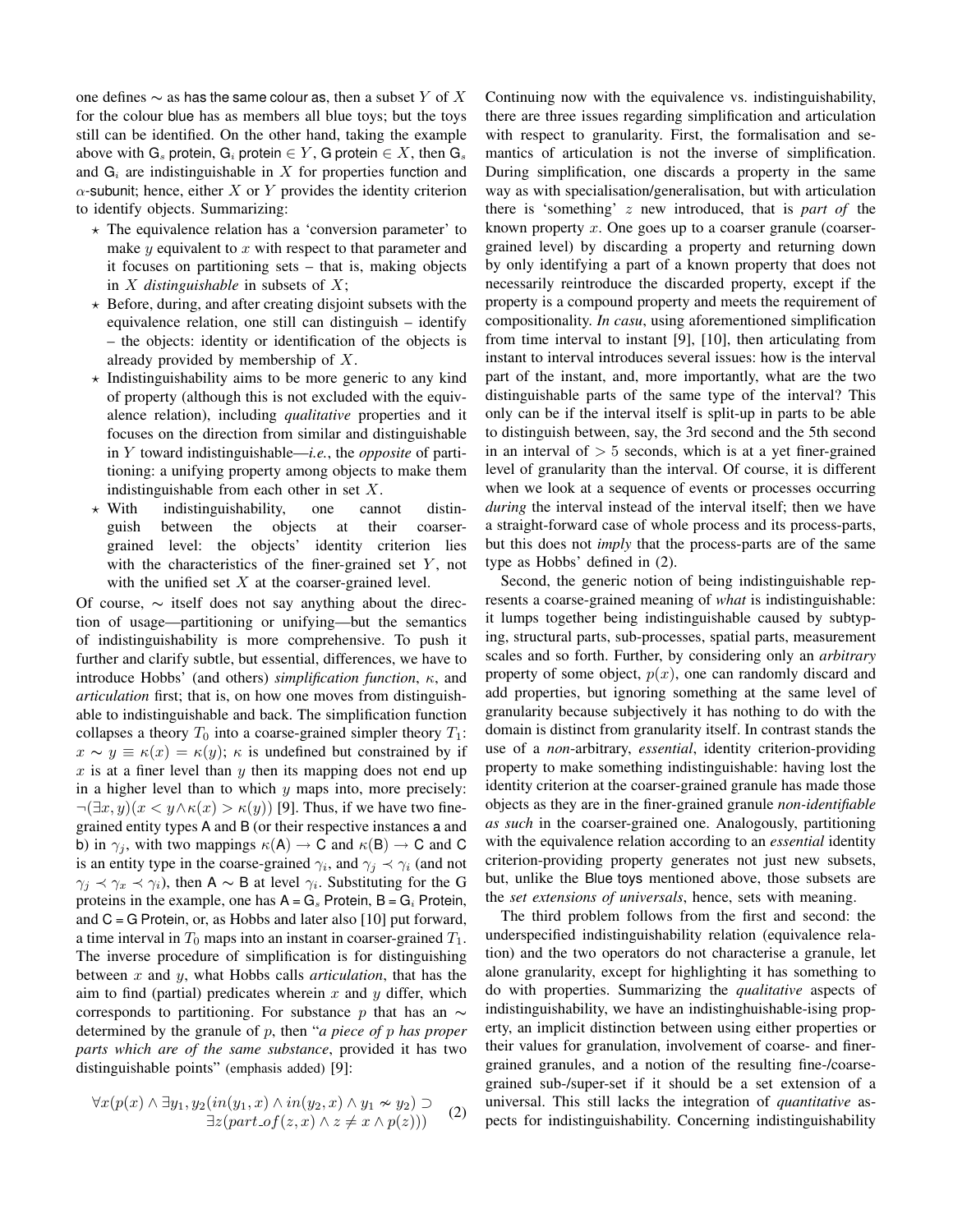one defines  $\sim$  as has the same colour as, then a subset Y of X for the colour blue has as members all blue toys; but the toys still can be identified. On the other hand, taking the example above with  $G_s$  protein,  $G_i$  protein  $\in Y$ , G protein  $\in X$ , then  $G_s$ and  $G_i$  are indistinguishable in X for properties function and  $\alpha$ -subunit; hence, either X or Y provides the identity criterion to identify objects. Summarizing:

- $\star$  The equivalence relation has a 'conversion parameter' to make  $y$  equivalent to  $x$  with respect to that parameter and it focuses on partitioning sets – that is, making objects in X *distinguishable* in subsets of X;
- $\star$  Before, during, and after creating disjoint subsets with the equivalence relation, one still can distinguish – identify – the objects: identity or identification of the objects is already provided by membership of X.
- $\star$  Indistinguishability aims to be more generic to any kind of property (although this is not excluded with the equivalence relation), including *qualitative* properties and it focuses on the direction from similar and distinguishable in Y toward indistinguishable—*i.e.*, the *opposite* of partitioning: a unifying property among objects to make them indistinguishable from each other in set X.
- $\star$  With indistinguishability, one cannot distinguish between the objects at their coarsergrained level: the objects' identity criterion lies with the characteristics of the finer-grained set  $Y$ , not with the unified set  $X$  at the coarser-grained level.

Of course, ∼ itself does not say anything about the direction of usage—partitioning or unifying—but the semantics of indistinguishability is more comprehensive. To push it further and clarify subtle, but essential, differences, we have to introduce Hobbs' (and others) *simplification function*, κ, and *articulation* first; that is, on how one moves from distinguishable to indistinguishable and back. The simplification function collapses a theory  $T_0$  into a coarse-grained simpler theory  $T_1$ :  $x \sim y \equiv \kappa(x) = \kappa(y)$ ;  $\kappa$  is undefined but constrained by if  $x$  is at a finer level than  $y$  then its mapping does not end up in a higher level than to which  $y$  maps into, more precisely:  $\neg(\exists x, y)(x \leq y \land \kappa(x) > \kappa(y))$  [9]. Thus, if we have two finegrained entity types A and B (or their respective instances a and b) in  $\gamma_i$ , with two mappings  $\kappa(A) \to C$  and  $\kappa(B) \to C$  and C is an entity type in the coarse-grained  $\gamma_i$ , and  $\gamma_j \prec \gamma_i$  (and not  $\gamma_j \prec \gamma_x \prec \gamma_i$ ), then A ~ B at level  $\gamma_i$ . Substituting for the G proteins in the example, one has  $A = G_s$  Protein,  $B = G_i$  Protein, and  $C = G$  Protein, or, as Hobbs and later also [10] put forward, a time interval in  $T_0$  maps into an instant in coarser-grained  $T_1$ . The inverse procedure of simplification is for distinguishing between x and y, what Hobbs calls *articulation*, that has the aim to find (partial) predicates wherein  $x$  and  $y$  differ, which corresponds to partitioning. For substance p that has an  $\sim$ determined by the granule of p, then "*a piece of* p *has proper parts which are of the same substance*, provided it has two distinguishable points" (emphasis added) [9]:

$$
\forall x (p(x) \land \exists y_1, y_2 (in(y_1, x) \land in(y_2, x) \land y_1 \not\sim y_2) \supset \exists z (part_of(z, x) \land z \neq x \land p(z)))
$$
 (2)

Continuing now with the equivalence vs. indistinguishability, there are three issues regarding simplification and articulation with respect to granularity. First, the formalisation and semantics of articulation is not the inverse of simplification. During simplification, one discards a property in the same way as with specialisation/generalisation, but with articulation there is 'something' z new introduced, that is *part of* the known property  $x$ . One goes up to a coarser granule (coarsergrained level) by discarding a property and returning down by only identifying a part of a known property that does not necessarily reintroduce the discarded property, except if the property is a compound property and meets the requirement of compositionality. *In casu*, using aforementioned simplification from time interval to instant [9], [10], then articulating from instant to interval introduces several issues: how is the interval part of the instant, and, more importantly, what are the two distinguishable parts of the same type of the interval? This only can be if the interval itself is split-up in parts to be able to distinguish between, say, the 3rd second and the 5th second in an interval of  $> 5$  seconds, which is at a yet finer-grained level of granularity than the interval. Of course, it is different when we look at a sequence of events or processes occurring *during* the interval instead of the interval itself; then we have a straight-forward case of whole process and its process-parts, but this does not *imply* that the process-parts are of the same type as Hobbs' defined in (2).

Second, the generic notion of being indistinguishable represents a coarse-grained meaning of *what* is indistinguishable: it lumps together being indistinguishable caused by subtyping, structural parts, sub-processes, spatial parts, measurement scales and so forth. Further, by considering only an *arbitrary* property of some object,  $p(x)$ , one can randomly discard and add properties, but ignoring something at the same level of granularity because subjectively it has nothing to do with the domain is distinct from granularity itself. In contrast stands the use of a *non*-arbitrary, *essential*, identity criterion-providing property to make something indistinguishable: having lost the identity criterion at the coarser-grained granule has made those objects as they are in the finer-grained granule *non-identifiable as such* in the coarser-grained one. Analogously, partitioning with the equivalence relation according to an *essential* identity criterion-providing property generates not just new subsets, but, unlike the Blue toys mentioned above, those subsets are the *set extensions of universals*, hence, sets with meaning.

The third problem follows from the first and second: the underspecified indistinguishability relation (equivalence relation) and the two operators do not characterise a granule, let alone granularity, except for highlighting it has something to do with properties. Summarizing the *qualitative* aspects of indistinguishability, we have an indistinghuishable-ising property, an implicit distinction between using either properties or their values for granulation, involvement of coarse- and finergrained granules, and a notion of the resulting fine-/coarsegrained sub-/super-set if it should be a set extension of a universal. This still lacks the integration of *quantitative* aspects for indistinguishability. Concerning indistinguishability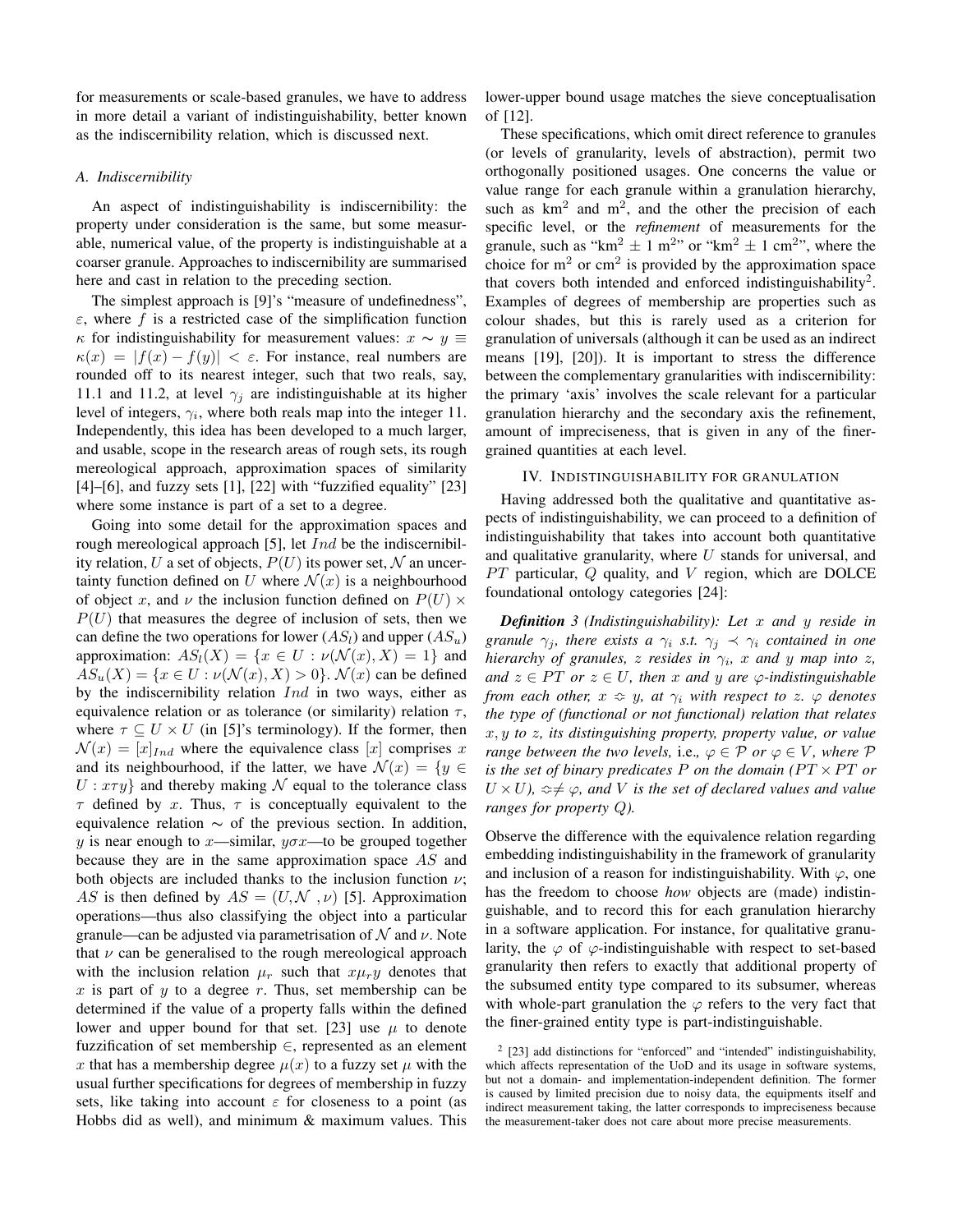for measurements or scale-based granules, we have to address in more detail a variant of indistinguishability, better known as the indiscernibility relation, which is discussed next.

## *A. Indiscernibility*

An aspect of indistinguishability is indiscernibility: the property under consideration is the same, but some measurable, numerical value, of the property is indistinguishable at a coarser granule. Approaches to indiscernibility are summarised here and cast in relation to the preceding section.

The simplest approach is [9]'s "measure of undefinedness",  $\varepsilon$ , where f is a restricted case of the simplification function  $\kappa$  for indistinguishability for measurement values:  $x \sim y$  ≡  $\kappa(x) = |f(x) - f(y)| < \varepsilon$ . For instance, real numbers are rounded off to its nearest integer, such that two reals, say, 11.1 and 11.2, at level  $\gamma_i$  are indistinguishable at its higher level of integers,  $\gamma_i$ , where both reals map into the integer 11. Independently, this idea has been developed to a much larger, and usable, scope in the research areas of rough sets, its rough mereological approach, approximation spaces of similarity  $[4]$ – $[6]$ , and fuzzy sets  $[1]$ ,  $[22]$  with "fuzzified equality"  $[23]$ where some instance is part of a set to a degree.

Going into some detail for the approximation spaces and rough mereological approach [5], let  $Ind$  be the indiscernibility relation, U a set of objects,  $P(U)$  its power set, N an uncertainty function defined on U where  $\mathcal{N}(x)$  is a neighbourhood of object x, and  $\nu$  the inclusion function defined on  $P(U) \times$  $P(U)$  that measures the degree of inclusion of sets, then we can define the two operations for lower  $(AS_l)$  and upper  $(AS_u)$ approximation:  $AS_l(X) = \{x \in U : \nu(\mathcal{N}(x), X) = 1\}$  and  $AS_u(X) = \{x \in U : \nu(\mathcal{N}(x), X) > 0\}$ .  $\mathcal{N}(x)$  can be defined by the indiscernibility relation  $Ind$  in two ways, either as equivalence relation or as tolerance (or similarity) relation  $\tau$ , where  $\tau \subset U \times U$  (in [5]'s terminology). If the former, then  $\mathcal{N}(x) = [x]_{Ind}$  where the equivalence class [x] comprises x and its neighbourhood, if the latter, we have  $\mathcal{N}(x) = \{y \in$  $U: x \tau y$  and thereby making N equal to the tolerance class  $\tau$  defined by x. Thus,  $\tau$  is conceptually equivalent to the equivalence relation  $\sim$  of the previous section. In addition, y is near enough to x—similar,  $y\sigma x$ —to be grouped together because they are in the same approximation space  $AS$  and both objects are included thanks to the inclusion function  $\nu$ ; AS is then defined by  $AS = (U, \mathcal{N}, \nu)$  [5]. Approximation operations—thus also classifying the object into a particular granule—can be adjusted via parametrisation of N and  $\nu$ . Note that  $\nu$  can be generalised to the rough mereological approach with the inclusion relation  $\mu_r$  such that  $x\mu_r y$  denotes that  $x$  is part of  $y$  to a degree  $r$ . Thus, set membership can be determined if the value of a property falls within the defined lower and upper bound for that set. [23] use  $\mu$  to denote fuzzification of set membership  $\in$ , represented as an element x that has a membership degree  $\mu(x)$  to a fuzzy set  $\mu$  with the usual further specifications for degrees of membership in fuzzy sets, like taking into account  $\varepsilon$  for closeness to a point (as Hobbs did as well), and minimum & maximum values. This

lower-upper bound usage matches the sieve conceptualisation of [12].

These specifications, which omit direct reference to granules (or levels of granularity, levels of abstraction), permit two orthogonally positioned usages. One concerns the value or value range for each granule within a granulation hierarchy, such as  $km^2$  and  $m^2$ , and the other the precision of each specific level, or the *refinement* of measurements for the granule, such as " $km^2 \pm 1$  m<sup>2</sup>" or " $km^2 \pm 1$  cm<sup>2</sup>", where the choice for  $m<sup>2</sup>$  or cm<sup>2</sup> is provided by the approximation space that covers both intended and enforced indistinguishability<sup>2</sup>. Examples of degrees of membership are properties such as colour shades, but this is rarely used as a criterion for granulation of universals (although it can be used as an indirect means [19], [20]). It is important to stress the difference between the complementary granularities with indiscernibility: the primary 'axis' involves the scale relevant for a particular granulation hierarchy and the secondary axis the refinement, amount of impreciseness, that is given in any of the finergrained quantities at each level.

### IV. INDISTINGUISHABILITY FOR GRANULATION

Having addressed both the qualitative and quantitative aspects of indistinguishability, we can proceed to a definition of indistinguishability that takes into account both quantitative and qualitative granularity, where  $U$  stands for universal, and  $PT$  particular,  $Q$  quality, and  $V$  region, which are DOLCE foundational ontology categories [24]:

*Definition 3 (Indistinguishability): Let* x *and* y *reside in granule*  $\gamma_j$ *, there exists a*  $\gamma_i$  *s.t.*  $\gamma_j \prec \gamma_i$  *contained in one hierarchy of granules,*  $z$  *resides in*  $\gamma_i$ *,*  $x$  *and*  $y$  *map into*  $z$ *, and*  $z \in PT$  *or*  $z \in U$ *, then* x *and* y are  $\varphi$ -indistinguishable *from each other,*  $x \approx y$ *, at*  $\gamma_i$  *with respect to* z*.*  $\varphi$  *denotes the type of (functional or not functional) relation that relates* x, y *to* z*, its distinguishing property, property value, or value range between the two levels, i.e.,*  $\varphi \in \mathcal{P}$  *or*  $\varphi \in V$ *, where*  $\mathcal{P}$ *is the set of binary predicates*  $P$  *on the domain (* $PT \times PT$  *or*  $U \times U$ ,  $\Leftrightarrow \neq \varphi$ , and V is the set of declared values and value *ranges for property* Q*).*

Observe the difference with the equivalence relation regarding embedding indistinguishability in the framework of granularity and inclusion of a reason for indistinguishability. With  $\varphi$ , one has the freedom to choose *how* objects are (made) indistinguishable, and to record this for each granulation hierarchy in a software application. For instance, for qualitative granularity, the  $\varphi$  of  $\varphi$ -indistinguishable with respect to set-based granularity then refers to exactly that additional property of the subsumed entity type compared to its subsumer, whereas with whole-part granulation the  $\varphi$  refers to the very fact that the finer-grained entity type is part-indistinguishable.

<sup>2</sup> [23] add distinctions for "enforced" and "intended" indistinguishability, which affects representation of the UoD and its usage in software systems, but not a domain- and implementation-independent definition. The former is caused by limited precision due to noisy data, the equipments itself and indirect measurement taking, the latter corresponds to impreciseness because the measurement-taker does not care about more precise measurements.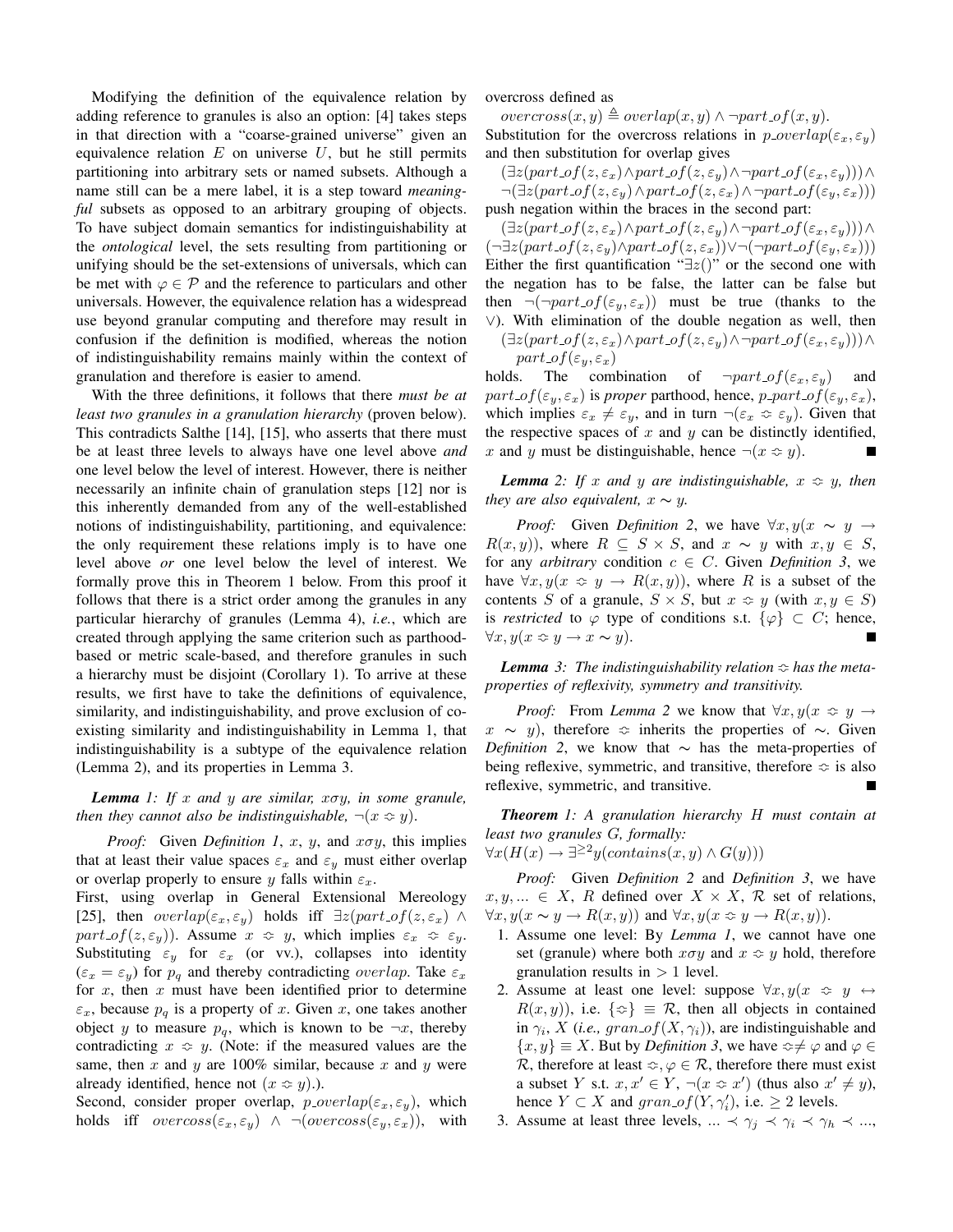Modifying the definition of the equivalence relation by adding reference to granules is also an option: [4] takes steps in that direction with a "coarse-grained universe" given an equivalence relation  $E$  on universe  $U$ , but he still permits partitioning into arbitrary sets or named subsets. Although a name still can be a mere label, it is a step toward *meaningful* subsets as opposed to an arbitrary grouping of objects. To have subject domain semantics for indistinguishability at the *ontological* level, the sets resulting from partitioning or unifying should be the set-extensions of universals, which can be met with  $\varphi \in \mathcal{P}$  and the reference to particulars and other universals. However, the equivalence relation has a widespread use beyond granular computing and therefore may result in confusion if the definition is modified, whereas the notion of indistinguishability remains mainly within the context of granulation and therefore is easier to amend.

With the three definitions, it follows that there *must be at least two granules in a granulation hierarchy* (proven below). This contradicts Salthe [14], [15], who asserts that there must be at least three levels to always have one level above *and* one level below the level of interest. However, there is neither necessarily an infinite chain of granulation steps [12] nor is this inherently demanded from any of the well-established notions of indistinguishability, partitioning, and equivalence: the only requirement these relations imply is to have one level above *or* one level below the level of interest. We formally prove this in Theorem 1 below. From this proof it follows that there is a strict order among the granules in any particular hierarchy of granules (Lemma 4), *i.e.*, which are created through applying the same criterion such as parthoodbased or metric scale-based, and therefore granules in such a hierarchy must be disjoint (Corollary 1). To arrive at these results, we first have to take the definitions of equivalence, similarity, and indistinguishability, and prove exclusion of coexisting similarity and indistinguishability in Lemma 1, that indistinguishability is a subtype of the equivalence relation (Lemma 2), and its properties in Lemma 3.

*Lemma 1: If* x *and* y *are similar,* xσy*, in some granule, then they cannot also be indistinguishable,*  $\neg(x \Leftrightarrow y)$ .

*Proof:* Given *Definition 1, x, y,* and  $x \sigma y$ , this implies that at least their value spaces  $\varepsilon_x$  and  $\varepsilon_y$  must either overlap or overlap properly to ensure y falls within  $\varepsilon_x$ .

First, using overlap in General Extensional Mereology [25], then  $overlap(\varepsilon_x, \varepsilon_y)$  holds iff  $\exists z (part\_of(z, \varepsilon_x) \land$ part of  $(z, \varepsilon_u)$ ). Assume  $x \approx y$ , which implies  $\varepsilon_x \approx \varepsilon_u$ . Substituting  $\varepsilon_y$  for  $\varepsilon_x$  (or vv.), collapses into identity  $(\varepsilon_x = \varepsilon_y)$  for  $p_q$  and thereby contradicting *overlap*. Take  $\varepsilon_x$ for  $x$ , then  $x$  must have been identified prior to determine  $\varepsilon_x$ , because  $p_q$  is a property of x. Given x, one takes another object y to measure  $p_{q}$ , which is known to be  $\neg x$ , thereby contradicting  $x \approx y$ . (Note: if the measured values are the same, then  $x$  and  $y$  are 100% similar, because  $x$  and  $y$  were already identified, hence not  $(x \approx y)$ .).

Second, consider proper overlap,  $p\_overlap(\varepsilon_x, \varepsilon_y)$ , which holds iff  $overs(s_x, \varepsilon_y) \land \neg(overs(s_y, \varepsilon_x)),$  with overcross defined as

 $overcross(x, y) \triangleq overlap(x, y) \land \neg part_of(x, y).$ 

Substitution for the overcross relations in  $p\_overlap(\varepsilon_x, \varepsilon_y)$ and then substitution for overlap gives

 $(\exists z (part\_of(z, \varepsilon_x) \land part\_of(z, \varepsilon_y) \land \neg part\_of(\varepsilon_x, \varepsilon_y))) \land$  $\neg(\exists z (part\_of(z, \varepsilon_y) \land part\_of(z, \varepsilon_x) \land \neg part\_of(\varepsilon_y, \varepsilon_x)))$ push negation within the braces in the second part:

 $(\exists z (part\_of(z, \varepsilon_x) \land part\_of(z, \varepsilon_y) \land \neg part\_of(\varepsilon_x, \varepsilon_y))) \land$  $\neg \exists z (part\_of(z, \varepsilon_y) \land part\_of(z, \varepsilon_x)) \lor \neg (\neg part\_of(\varepsilon_y, \varepsilon_x)))$ Either the first quantification " $\exists z()$ " or the second one with the negation has to be false, the latter can be false but then  $\neg(\neg part\_of(\varepsilon_y, \varepsilon_x))$  must be true (thanks to the ∨). With elimination of the double negation as well, then

 $(\exists z (part\_of(z, \varepsilon_x) \land part\_of(z, \varepsilon_y) \land \neg part\_of(\varepsilon_x, \varepsilon_y))) \land$  $part\_of(\varepsilon_y, \varepsilon_x)$ 

holds. The combination of  $\neg part_{\varphi} f(\varepsilon_x, \varepsilon_y)$  and  $part\_of(\varepsilon_y, \varepsilon_x)$  is *proper* parthood, hence,  $p\_part\_of(\varepsilon_y, \varepsilon_x)$ , which implies  $\varepsilon_x \neq \varepsilon_y$ , and in turn  $\neg(\varepsilon_x \Leftrightarrow \varepsilon_y)$ . Given that the respective spaces of  $x$  and  $y$  can be distinctly identified, x and y must be distinguishable, hence  $\neg(x \Leftrightarrow y)$ .

*Lemma* 2: If x and y are indistinguishable,  $x \approx y$ , then *they are also equivalent,*  $x \sim y$ .

*Proof:* Given *Definition 2*, we have  $\forall x, y \in \mathcal{Y}$  $R(x, y)$ , where  $R \subseteq S \times S$ , and  $x \sim y$  with  $x, y \in S$ , for any *arbitrary* condition  $c \in C$ . Given *Definition 3*, we have  $\forall x, y(x \in y \rightarrow R(x, y))$ , where R is a subset of the contents S of a granule,  $S \times S$ , but  $x \approx y$  (with  $x, y \in S$ ) is *restricted* to  $\varphi$  type of conditions s.t.  $\{\varphi\} \subset C$ ; hence,  $\forall x, y(x \Leftrightarrow y \rightarrow x \sim y).$ 

*Lemma* 3: The indistinguishability relation  $\Leftrightarrow$  has the meta*properties of reflexivity, symmetry and transitivity.*

*Proof:* From *Lemma 2* we know that  $\forall x, y \in \mathcal{X} \Rightarrow y \rightarrow$  $x \sim y$ ), therefore  $\Leftrightarrow$  inherits the properties of  $\sim$ . Given *Definition 2*, we know that ∼ has the meta-properties of being reflexive, symmetric, and transitive, therefore  $\approx$  is also reflexive, symmetric, and transitive.

*Theorem 1: A granulation hierarchy* H *must contain at least two granules* G*, formally:*

 $\forall x(H(x) \rightarrow \exists^{\geq 2} y (contains(x, y) \land G(y)))$ 

*Proof:* Given *Definition 2* and *Definition 3*, we have  $x, y, \ldots \in X$ , R defined over  $X \times X$ , R set of relations,  $\forall x, y(x \sim y \rightarrow R(x, y))$  and  $\forall x, y(x \approx y \rightarrow R(x, y))$ .

- 1. Assume one level: By *Lemma 1*, we cannot have one set (granule) where both  $x\sigma y$  and  $x \approx y$  hold, therefore granulation results in  $> 1$  level.
- 2. Assume at least one level: suppose  $\forall x, y(x \Leftrightarrow y \leftrightarrow y)$  $R(x, y)$ , i.e.  $\{\infty\} \equiv \mathcal{R}$ , then all objects in contained in  $\gamma_i$ , X (*i.e.*, gran of  $(X, \gamma_i)$ ), are indistinguishable and  $\{x, y\} \equiv X$ . But by *Definition 3*, we have  $\Leftrightarrow \neq \varphi$  and  $\varphi \in \mathbb{R}$ R, therefore at least  $\infty$ ,  $\varphi \in \mathcal{R}$ , therefore there must exist a subset Y s.t.  $x, x' \in Y$ ,  $\neg(x \Leftrightarrow x')$  (thus also  $x' \neq y$ ), hence  $Y \subset X$  and  $gran\_of(Y, \gamma'_i)$ , i.e.  $\geq 2$  levels.
- 3. Assume at least three levels, ...  $\prec \gamma_i \prec \gamma_i \prec \gamma_h \prec ...$